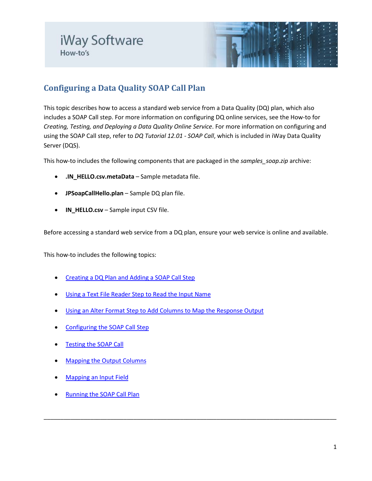

# **Configuring a Data Quality SOAP Call Plan**

This topic describes how to access a standard web service from a Data Quality (DQ) plan, which also includes a SOAP Call step. For more information on configuring DQ online services, see the How-to for *Creating, Testing, and Deploying a Data Quality Online Service*. For more information on configuring and using the SOAP Call step, refer to *DQ Tutorial 12.01 - SOAP Call*, which is included in iWay Data Quality Server (DQS).

This how-to includes the following components that are packaged in the *samples\_soap.zip* archive:

- **.IN\_HELLO.csv.metaData** Sample metadata file.
- **JPSoapCallHello.plan** Sample DQ plan file.
- **IN\_HELLO.csv** Sample input CSV file.

Before accessing a standard web service from a DQ plan, ensure your web service is online and available.

\_\_\_\_\_\_\_\_\_\_\_\_\_\_\_\_\_\_\_\_\_\_\_\_\_\_\_\_\_\_\_\_\_\_\_\_\_\_\_\_\_\_\_\_\_\_\_\_\_\_\_\_\_\_\_\_\_\_\_\_\_\_\_\_\_\_\_\_\_\_\_\_\_\_\_\_\_\_\_\_\_\_\_\_\_\_\_\_

This how-to includes the following topics:

- [Creating a DQ Plan and Adding a SOAP Call Step](#page-1-0)
- [Using a Text File Reader Step to Read the Input Name](#page-1-1)
- [Using an Alter Format Step to Add Columns to Map the Response Output](#page-2-0)
- [Configuring the SOAP Call Step](#page-2-1)
- [Testing the SOAP Call](#page-4-0)
- [Mapping the Output Columns](#page-6-0)
- **[Mapping an Input Field](#page-8-0)**
- [Running the SOAP Call Plan](#page-9-0)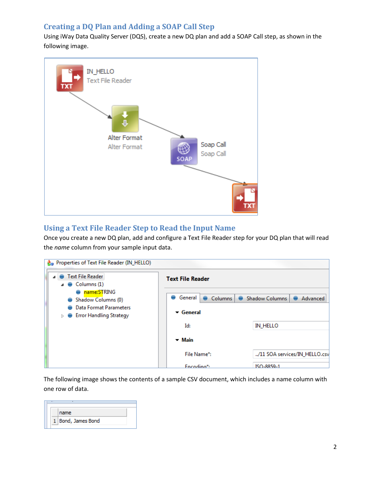## <span id="page-1-0"></span>**Creating a DQ Plan and Adding a SOAP Call Step**

Using iWay Data Quality Server (DQS), create a new DQ plan and add a SOAP Call step, as shown in the following image.



### <span id="page-1-1"></span>**Using a Text File Reader Step to Read the Input Name**

Once you create a new DQ plan, add and configure a Text File Reader step for your DQ plan that will read the *name* column from your sample input data.

| <b>A</b> <sub>O</sub> Properties of Text File Reader (IN_HELLO)              |                               |                                   |
|------------------------------------------------------------------------------|-------------------------------|-----------------------------------|
| Text File Reader<br>$\triangle$ $\triangle$ Columns (1)                      | <b>Text File Reader</b>       |                                   |
| name:STRING<br>Shadow Columns (0)                                            | General<br>Columns<br>۰       | <b>Shadow Columns</b><br>Advanced |
| Data Format Parameters<br><b>Error Handling Strategy</b><br>$\triangleright$ | $\blacktriangleright$ General |                                   |
|                                                                              | Id:                           | <b>IN_HELLO</b>                   |
|                                                                              | $-$ Main                      |                                   |
|                                                                              | File Name*:                   | /11 SOA services/IN_HELLO.csv     |
|                                                                              | Fncoding*:                    | ISO-8859-1                        |

The following image shows the contents of a sample CSV document, which includes a name column with one row of data.

|  | name             |  |
|--|------------------|--|
|  | Bond, James Bond |  |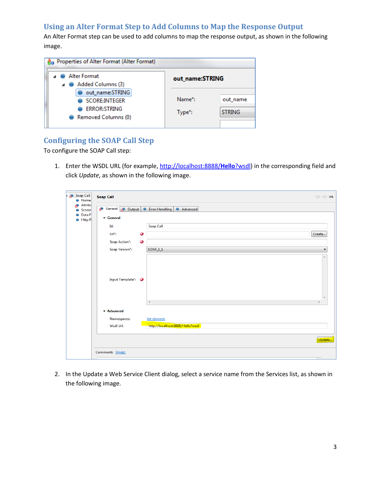### <span id="page-2-0"></span>**Using an Alter Format Step to Add Columns to Map the Response Output**

An Alter Format step can be used to add columns to map the response output, as shown in the following image.

| <b>R</b> <sub>n</sub> Properties of Alter Format (Alter Format)                |                  |                           |
|--------------------------------------------------------------------------------|------------------|---------------------------|
| ⊿ Alter Format<br>$\triangle$ $\triangle$ Added Columns (3)                    | out name:STRING  |                           |
| out name:STRING<br>SCORE:INTEGER<br><b>ERROR:STRING</b><br>Removed Columns (0) | Name*:<br>Type*: | out name<br><b>STRING</b> |

# <span id="page-2-1"></span>**Configuring the SOAP Call Step**

To configure the SOAP Call step:

1. Enter the WSDL URL (for example, [http://localhost:8888/](http://localhost:8888/Hello?wsdl)**Hello**?wsdl) in the corresponding field and click *Update*, as shown in the following image.

| Soap Call<br>гĐ.<br>Name | <b>Soap Call</b>                                | $\Leftrightarrow$ $\Leftrightarrow$ xmL |
|--------------------------|-------------------------------------------------|-----------------------------------------|
| Attribu<br>Scorer        | General <b>B</b> Output <b>C</b> Error Handling | Advanced                                |
| Data F<br>Http R<br>€    | ▼ General                                       |                                         |
|                          | Soap Call<br>Id:                                |                                         |
|                          | $\ddot{\bm{\omega}}$<br>$Ur*$ :                 | Create                                  |
|                          | Ø<br>Soap Action*:                              |                                         |
|                          | Soap Version*:<br>$SOAP_11$                     |                                         |
|                          |                                                 | A                                       |
|                          |                                                 |                                         |
|                          |                                                 |                                         |
|                          | Input Template*: 3                              |                                         |
|                          |                                                 |                                         |
|                          |                                                 | $\overline{\phantom{a}}$                |
|                          | $\triangleleft$                                 |                                         |
|                          | ▼ Advanced                                      |                                         |
|                          | list element<br>Namespaces:                     |                                         |
|                          | Wsdl Url:                                       | http://localhost:8888/Hello?wsdl        |
|                          |                                                 |                                         |
|                          |                                                 | Update                                  |
|                          | Comments (Hide)                                 |                                         |
|                          |                                                 |                                         |

2. In the Update a Web Service Client dialog, select a service name from the Services list, as shown in the following image.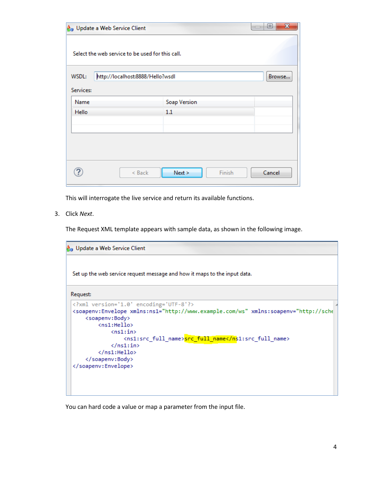| $\mathbf{z}$<br>▣<br>& Update a Web Service Client<br>$\overline{1}$ |                                  |        |  |
|----------------------------------------------------------------------|----------------------------------|--------|--|
| Select the web service to be used for this call.                     |                                  |        |  |
| WSDL:<br>Services:                                                   | http://localhost:8888/Hello?wsdl | Browse |  |
| Name                                                                 | <b>Soap Version</b>              |        |  |
| Hello                                                                | 1.1                              |        |  |
|                                                                      |                                  |        |  |
|                                                                      |                                  |        |  |
|                                                                      |                                  |        |  |
|                                                                      | Next ><br>< Back<br>Finish       | Cancel |  |

This will interrogate the live service and return its available functions.

3. Click *Next*.

The Request XML template appears with sample data, as shown in the following image.

```
A<sub>n</sub> Update a Web Service Client
 Set up the web service request message and how it maps to the input data.
Request:
 <?xml version='1.0' encoding='UTF-8'?>
 <soapenv:Envelope xmlns:ns1="http://www.example.com/ws" xmlns:soapenv="http://sche
      <soapenv:Body>
           <ns1:Hello>
                \langlens1:in\rangle<ns1:src_full_name>src_full_name</ns1:src_full_name>
                \langle /ns1; in \rangle\langle /ns1; \text{Hello} \rangle</soapenv:Body>
 </soapenv:Envelope>
```
You can hard code a value or map a parameter from the input file.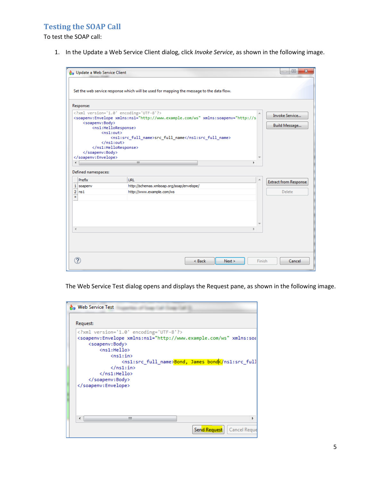#### <span id="page-4-0"></span>**Testing the SOAP Call**

To test the SOAP call:

1. In the Update a Web Service Client dialog, click *Invoke Service*, as shown in the following image.

| <b>A</b> <sub>B</sub> Update a Web Service Client |                                                                                                                                                                                                                                                                                                                                                                                                                                                                                                                                                                                                                                                                                                                                                                                                                                                                                                                                                                                                                                                                                                                                                                                                                                                                                   | $\overline{\mathbf{x}}$<br>▣ |        |
|---------------------------------------------------|-----------------------------------------------------------------------------------------------------------------------------------------------------------------------------------------------------------------------------------------------------------------------------------------------------------------------------------------------------------------------------------------------------------------------------------------------------------------------------------------------------------------------------------------------------------------------------------------------------------------------------------------------------------------------------------------------------------------------------------------------------------------------------------------------------------------------------------------------------------------------------------------------------------------------------------------------------------------------------------------------------------------------------------------------------------------------------------------------------------------------------------------------------------------------------------------------------------------------------------------------------------------------------------|------------------------------|--------|
|                                                   | Set the web service response which will be used for mapping the message to the data flow.                                                                                                                                                                                                                                                                                                                                                                                                                                                                                                                                                                                                                                                                                                                                                                                                                                                                                                                                                                                                                                                                                                                                                                                         |                              |        |
| Response:                                         |                                                                                                                                                                                                                                                                                                                                                                                                                                                                                                                                                                                                                                                                                                                                                                                                                                                                                                                                                                                                                                                                                                                                                                                                                                                                                   |                              |        |
| <soapenv:body><br/></soapenv:body>                | xml version='1.0' encoding='UTF-8'?<br><soapenv:envelope inline"="" xmlns:ns1="http://www.example.com/ws" xmlns:soapenv="http://s&lt;br&gt;&lt;ns1:HelloResponse&gt;&lt;br&gt;&lt;math&gt;\langle&lt;/math&gt;ns1:out&gt;&lt;br&gt;&lt;ns1:src_full_name&gt;src_full_name&lt;/ns1:src_full_name&gt;&lt;br&gt;&lt;math&gt;\langle&lt;/math&gt;/ns1:out&gt;&lt;br&gt;&lt;/ns1:HelloResponse&gt;&lt;/th&gt;&lt;th&gt;Invoke Service&lt;br&gt;Build Message&lt;/th&gt;&lt;/tr&gt;&lt;tr&gt;&lt;td&gt;&lt;/soapenv:Envelope&gt;&lt;/td&gt;&lt;td&gt;&lt;/td&gt;&lt;td&gt;&lt;/td&gt;&lt;/tr&gt;&lt;tr&gt;&lt;th&gt;&lt;math&gt;\overline{4}&lt;/math&gt;&lt;/th&gt;&lt;th&gt;m.&lt;/th&gt;&lt;th&gt;&lt;/th&gt;&lt;/tr&gt;&lt;tr&gt;&lt;th&gt;Defined namespaces:&lt;/th&gt;&lt;th&gt;&lt;/th&gt;&lt;th&gt;&lt;/th&gt;&lt;/tr&gt;&lt;tr&gt;&lt;td&gt;Prefix&lt;/td&gt;&lt;td&gt;&lt;b&gt;URL&lt;/b&gt;&lt;/td&gt;&lt;td&gt;&lt;b&gt;Extract from Response&lt;/b&gt;&lt;/td&gt;&lt;/tr&gt;&lt;tr&gt;&lt;td&gt;1 soapenv&lt;/td&gt;&lt;td&gt;http://schemas.xmlsoap.org/soap/envelope/&lt;/td&gt;&lt;td&gt;&lt;/td&gt;&lt;/tr&gt;&lt;tr&gt;&lt;td&gt;&lt;math&gt;2&lt;/math&gt; ns1&lt;br&gt;&lt;math display=">\ast<td>http://www.example.com/ws</td><td>Delete</td></soapenv:envelope> | http://www.example.com/ws    | Delete |
| ∢                                                 |                                                                                                                                                                                                                                                                                                                                                                                                                                                                                                                                                                                                                                                                                                                                                                                                                                                                                                                                                                                                                                                                                                                                                                                                                                                                                   |                              |        |
|                                                   | < Back<br>Next ><br>Finish                                                                                                                                                                                                                                                                                                                                                                                                                                                                                                                                                                                                                                                                                                                                                                                                                                                                                                                                                                                                                                                                                                                                                                                                                                                        | Cancel                       |        |

The Web Service Test dialog opens and displays the Request pane, as shown in the following image.

| <b>Re</b> Web Service Test                                                                                                                                                            |                                                                                                                                                    |
|---------------------------------------------------------------------------------------------------------------------------------------------------------------------------------------|----------------------------------------------------------------------------------------------------------------------------------------------------|
| Request:                                                                                                                                                                              |                                                                                                                                                    |
| xml version='1.0' encoding='UTF-8'?<br><soapenv:body><br/><ns1:hello><br/><math>\langle</math>ns1:in&gt;<br/><math>\langle</math>/ns1:in&gt;<br/></ns1:hello><br/></soapenv:body><br> | <soapenv:envelope xmlns:ns1="http://www.example.com/ws" xmlns:soa<br=""><ns1:src_full_name>Bond, James_bond</ns1:src_full_name></soapenv:envelope> |
| m.                                                                                                                                                                                    |                                                                                                                                                    |
|                                                                                                                                                                                       | <b>Send Request</b><br>Cancel Reque                                                                                                                |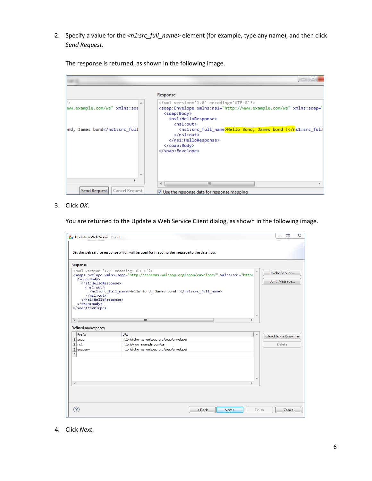2. Specify a value for the *<n1:src\_full\_name>* element (for example, type any name), and then click *Send Request*.

The response is returned, as shown in the following image.

|                                                                                                                                     | ▣<br>$\Box$                                                                                                                                                                                                          |
|-------------------------------------------------------------------------------------------------------------------------------------|----------------------------------------------------------------------------------------------------------------------------------------------------------------------------------------------------------------------|
|                                                                                                                                     | Response:                                                                                                                                                                                                            |
| ww.example.com/ws" xmlns:soa                                                                                                        | xml version='1.0' encoding='UTF-8'?<br><soap:Envelope xmlns:ns1="http://www.example.com/ws" xmlns:soap='<br> <soap:body><br/><ns1:helloresponse><br/><math>\langle</math>ns1:out&gt;</ns1:helloresponse></soap:body> |
| pnd, James bond <td><ns1:src full="" name="">Hello Bond, James bond !</ns1:src><math>\langle</math>/ns1:out&gt;<br/><br/><br/></td> | <ns1:src full="" name="">Hello Bond, James bond !</ns1:src> $\langle$ /ns1:out><br><br><br>                                                                                                                          |
|                                                                                                                                     | <b>III</b>                                                                                                                                                                                                           |
| Send Request<br>Cancel Request                                                                                                      | V Use the response data for response mapping                                                                                                                                                                         |

3. Click *OK*.

You are returned to the Update a Web Service Client dialog, as shown in the following image.

|                      | <b>A</b> <sub>D</sub> Update a Web Service Client                                                                                                      |                                                                                                                                                                                                    | $\Sigma$<br>回<br>$\equiv$                     |
|----------------------|--------------------------------------------------------------------------------------------------------------------------------------------------------|----------------------------------------------------------------------------------------------------------------------------------------------------------------------------------------------------|-----------------------------------------------|
|                      |                                                                                                                                                        | Set the web service response which will be used for mapping the message to the data flow.                                                                                                          |                                               |
|                      | Response:                                                                                                                                              |                                                                                                                                                                                                    |                                               |
|                      | <soap:body><br/><ns1:helloresponse><br/><math>\langle</math>ns1:out&gt;<br/><math>\langle</math>/ns1:out&gt;<br/></ns1:helloresponse><br/></soap:body> | xml version='1.0' encoding='UTF-8'?<br>杰<br><soap:Envelope xmlns:soap="http://schemas.xmlsoap.org/soap/envelope/" xmlns:ns1="http:<br> <ns1:src full="" name="">Hello Bond, James bond !</ns1:src> | <b>Invoke Service</b><br><b>Build Message</b> |
| $\blacktriangleleft$ |                                                                                                                                                        | m.                                                                                                                                                                                                 |                                               |
|                      | Defined namespaces:<br>Prefix                                                                                                                          | <b>URL</b><br>×.                                                                                                                                                                                   |                                               |
|                      | $1$ soap                                                                                                                                               | http://schemas.xmlsoap.org/soap/envelope/                                                                                                                                                          | <b>Extract from Response</b>                  |
|                      | $2$ ns1                                                                                                                                                | http://www.example.com/ws                                                                                                                                                                          | Delete                                        |
| ÷                    | 3 soapenv                                                                                                                                              | http://schemas.xmlsoap.org/soap/envelope/                                                                                                                                                          |                                               |
|                      |                                                                                                                                                        |                                                                                                                                                                                                    |                                               |
| ∢                    |                                                                                                                                                        |                                                                                                                                                                                                    |                                               |
|                      |                                                                                                                                                        | $<$ Back<br>Next ><br>Finish                                                                                                                                                                       | Cancel                                        |

4. Click *Next*.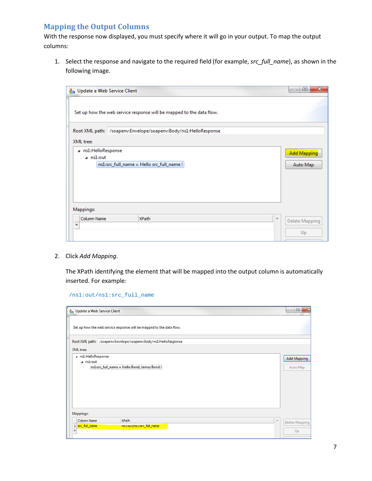# <span id="page-6-0"></span>**Mapping the Output Columns**

With the response now displayed, you must specify where it will go in your output. To map the output columns:

1. Select the response and navigate to the required field (for example, *src\_full\_name*), as shown in the following image.

| <b>A</b> <sub>B</sub> Update a Web Service Client                                      |                                                                      | ▣                              | $\mathbf{x}$ |
|----------------------------------------------------------------------------------------|----------------------------------------------------------------------|--------------------------------|--------------|
|                                                                                        | Set up how the web service response will be mapped to the data flow. |                                |              |
|                                                                                        | Root XML path: /soapenv:Envelope/soapenv:Body/ns1:HelloResponse      |                                |              |
| XML tree:                                                                              |                                                                      |                                |              |
| ⊿ ns1:HelloResponse<br>$\sqrt{a}$ ns1:out<br>ns1:src_full_name = Hello src_full_name ! |                                                                      | <b>Add Mapping</b><br>Auto Map |              |
| Mappings:                                                                              |                                                                      |                                |              |
| Column Name<br>×.                                                                      | <b>XPath</b>                                                         | A.<br>Delete Mapping<br>Up     |              |

2. Click *Add Mapping*.

The XPath identifying the element that will be mapped into the output column is automatically inserted. For example:

/ns1:out/ns1:src\_full\_name

| <b>A</b> <sub>n</sub> Update a Web Service Client |                                                                      | $\mathbf{x}$<br>$\Box$<br>$\overline{\phantom{0}}$ |
|---------------------------------------------------|----------------------------------------------------------------------|----------------------------------------------------|
|                                                   | Set up how the web service response will be mapped to the data flow. |                                                    |
|                                                   | Root XML path: /soapenv:Envelope/soapenv:Body/ns1:HelloResponse      |                                                    |
| XML tree:                                         |                                                                      |                                                    |
| a ns1:HelloResponse<br>a ns1:out                  | ns1:src_full_name = Hello Bond, James Bond !                         | <b>Add Mapping</b><br>Auto Map                     |
| Mappings:                                         |                                                                      |                                                    |
| Column Name<br>1 src_full_name<br>×.              | <b>XPath</b><br>ns1:out/ns1:src_full_name                            | 스<br><b>Delete Mapping</b><br>Up                   |
|                                                   |                                                                      |                                                    |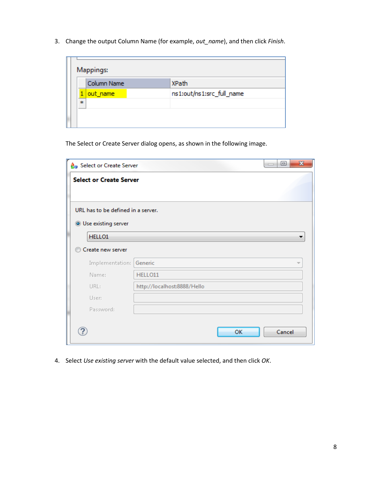3. Change the output Column Name (for example, *out\_name*), and then click *Finish*.

| Mappings:   |                           |  |  |  |
|-------------|---------------------------|--|--|--|
| Column Name | XPath                     |  |  |  |
| out_name    | ns1:out/ns1:src_full_name |  |  |  |
| sk.         |                           |  |  |  |
|             |                           |  |  |  |
|             |                           |  |  |  |

The Select or Create Server dialog opens, as shown in the following image.

| <b>A</b> <sub>n</sub> Select or Create Server |                             | $\mathbf{x}$<br>▣<br>$\Box$ |  |  |  |  |  |  |
|-----------------------------------------------|-----------------------------|-----------------------------|--|--|--|--|--|--|
| <b>Select or Create Server</b>                |                             |                             |  |  |  |  |  |  |
|                                               |                             |                             |  |  |  |  |  |  |
| URL has to be defined in a server.            |                             |                             |  |  |  |  |  |  |
| <b>O</b> Use existing server                  |                             |                             |  |  |  |  |  |  |
| HELLO1                                        |                             |                             |  |  |  |  |  |  |
| Create new server                             |                             |                             |  |  |  |  |  |  |
| Implementation:                               | Generic                     |                             |  |  |  |  |  |  |
| Name:                                         | HELLO11                     |                             |  |  |  |  |  |  |
| URL:                                          | http://localhost:8888/Hello |                             |  |  |  |  |  |  |
| User:                                         |                             |                             |  |  |  |  |  |  |
| Password:                                     |                             |                             |  |  |  |  |  |  |
|                                               |                             |                             |  |  |  |  |  |  |
|                                               |                             | OK<br>Cancel                |  |  |  |  |  |  |

4. Select *Use existing server* with the default value selected, and then click *OK*.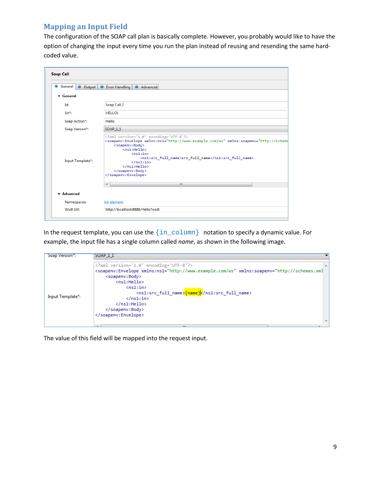#### <span id="page-8-0"></span>**Mapping an Input Field**

The configuration of the SOAP call plan is basically complete. However, you probably would like to have the option of changing the input every time you run the plan instead of reusing and resending the same hardcoded value.

| <b>Soap Call</b>                                           |                                                                                                                                                                                                                                                                                                                                                                                       |  |  |  |
|------------------------------------------------------------|---------------------------------------------------------------------------------------------------------------------------------------------------------------------------------------------------------------------------------------------------------------------------------------------------------------------------------------------------------------------------------------|--|--|--|
| General ● Output ● Error Handling<br>$\color{red} \bullet$ | Advanced                                                                                                                                                                                                                                                                                                                                                                              |  |  |  |
| $\blacktriangleright$ General                              |                                                                                                                                                                                                                                                                                                                                                                                       |  |  |  |
| Id:                                                        | Soap Call 2                                                                                                                                                                                                                                                                                                                                                                           |  |  |  |
| Url*:                                                      | HELLO1                                                                                                                                                                                                                                                                                                                                                                                |  |  |  |
| Soap Action*:                                              | Hello                                                                                                                                                                                                                                                                                                                                                                                 |  |  |  |
| Soap Version*:                                             | SOAP 11                                                                                                                                                                                                                                                                                                                                                                               |  |  |  |
| Input Template*:                                           | xml version='1.0' encoding='UTF-8'?<br><soapenv:Envelope xmlns:ns1="http://www.example.com/ws" xmlns:soapenv="http://schema<br> <soapenv:body><br/><math>\langle</math>ns1:Hello&gt;<br/><math>\langle</math>ns1:in&gt;<br/><ns1:src full="" name="">src full name</ns1:src><br/><math>\langle /ns1:ins \rangle</math><br/><math>\langle</math>/ns1:Hello&gt;<br/></soapenv:body><br> |  |  |  |
|                                                            | $\leftarrow$<br>m.                                                                                                                                                                                                                                                                                                                                                                    |  |  |  |
| $\blacktriangleright$ Advanced                             |                                                                                                                                                                                                                                                                                                                                                                                       |  |  |  |
| Namespaces:                                                | list element                                                                                                                                                                                                                                                                                                                                                                          |  |  |  |

In the request template, you can use the  $\{in\_column\}$  notation to specify a dynamic value. For example, the input file has a single column called *name*, as shown in the following image.

| Soap Version":   | SOAP 11                                                                                                                                                                                                                                                                                                                                                                                                                                          |  |
|------------------|--------------------------------------------------------------------------------------------------------------------------------------------------------------------------------------------------------------------------------------------------------------------------------------------------------------------------------------------------------------------------------------------------------------------------------------------------|--|
| Input Template*: | xml version='1.0' encoding='UTF-8'?<br><soapenv:Envelope xmlns:ns1="http://www.example.com/ws" xmlns:soapenv="http://schemas.xml<br> <soapenv:body><br/><math>\langle</math>ns1:Hello&gt;<br/><math>\langle</math>ns1:in<math>\rangle</math><br/><ns1:src_full_name>{name}{<math>\frac{1}{2}</math>/ns1:src_full_name&gt;<br/><math>\langle</math>/ns1:in&gt;<br/><math>\langle</math>/ns1:Hello&gt;<br/></ns1:src_full_name></soapenv:body><br> |  |
|                  | 222                                                                                                                                                                                                                                                                                                                                                                                                                                              |  |

The value of this field will be mapped into the request input.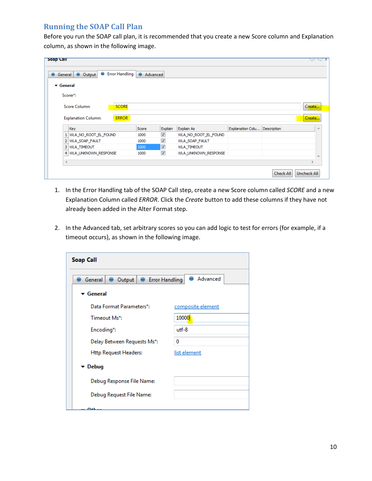#### <span id="page-9-0"></span>**Running the SOAP Call Plan**

Before you run the SOAP call plan, it is recommended that you create a new Score column and Explanation column, as shown in the following image.

| <b>Soap Call</b>              |                                                   |          |                          |                       |                              |                  | δ.                 |
|-------------------------------|---------------------------------------------------|----------|--------------------------|-----------------------|------------------------------|------------------|--------------------|
| ●                             | Error Handling<br>Θ<br>General Output             | Advanced |                          |                       |                              |                  |                    |
| $\blacktriangleright$ General |                                                   |          |                          |                       |                              |                  |                    |
|                               | Scorer*:                                          |          |                          |                       |                              |                  |                    |
|                               | <b>SCORE</b><br>Score Column:                     |          |                          |                       |                              |                  | Create             |
|                               | <b>ERROR</b><br><b>Explanation Column:</b><br>Key | Score    | Explain                  | Explain As            | Explanation Colu Description |                  | Create<br>业        |
|                               | 1 WLA_NO_ROOT_EL_FOUND                            | 1000     | $\overline{\mathcal{A}}$ | WLA_NO_ROOT_EL_FOUND  |                              |                  |                    |
|                               | 2 WLA SOAP FAULT                                  | 1000     | $\overline{\mathsf{v}}$  | <b>WLA SOAP FAULT</b> |                              |                  |                    |
|                               | 3 WLA TIMEOUT                                     | 1000     | √                        | <b>WLA_TIMEOUT</b>    |                              |                  |                    |
|                               | 4 WLA_UNKNOWN_RESPONSE                            | 1000     | $\overline{\mathcal{J}}$ | WLA_UNKNOWN_RESPONSE  |                              |                  |                    |
| $\overline{4}$                |                                                   |          |                          |                       |                              |                  |                    |
|                               |                                                   |          |                          |                       |                              | <b>Check All</b> | <b>Uncheck All</b> |

- 1. In the Error Handling tab of the SOAP Call step, create a new Score column called *SCORE* and a new Explanation Column called *ERROR*. Click the *Create* button to add these columns if they have not already been added in the Alter Format step.
- 2. In the Advanced tab, set arbitrary scores so you can add logic to test for errors (for example, if a timeout occurs), as shown in the following image.

| <b>Soap Call</b>                                         |                   |  |  |  |  |  |
|----------------------------------------------------------|-------------------|--|--|--|--|--|
| Advanced<br>Output   Error Handling<br>General $\bullet$ |                   |  |  |  |  |  |
| ▼ General                                                |                   |  |  |  |  |  |
| Data Format Parameters*:                                 | composite element |  |  |  |  |  |
| Timeout Ms*:                                             | 10000             |  |  |  |  |  |
| Encoding*:                                               | $u$ tf-8          |  |  |  |  |  |
| Delay Between Requests Ms*:                              | 0                 |  |  |  |  |  |
| <b>Http Request Headers:</b>                             | list element      |  |  |  |  |  |
| ▼ Debug                                                  |                   |  |  |  |  |  |
| Debug Response File Name:                                |                   |  |  |  |  |  |
| Debug Request File Name:                                 |                   |  |  |  |  |  |
|                                                          |                   |  |  |  |  |  |